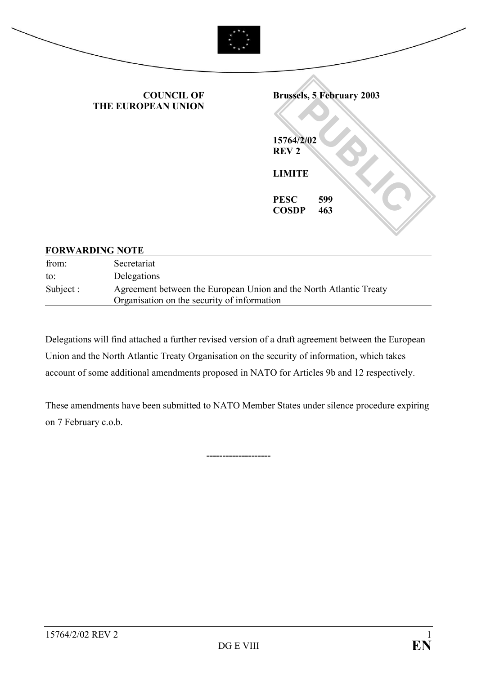

#### **FORWARDING NOTE**

| from:     | Secretariat                                                                                                       |
|-----------|-------------------------------------------------------------------------------------------------------------------|
| to:       | Delegations                                                                                                       |
| Subject : | Agreement between the European Union and the North Atlantic Treaty<br>Organisation on the security of information |

Delegations will find attached a further revised version of a draft agreement between the European Union and the North Atlantic Treaty Organisation on the security of information, which takes account of some additional amendments proposed in NATO for Articles 9b and 12 respectively.

These amendments have been submitted to NATO Member States under silence procedure expiring on 7 February c.o.b.

**--------------------**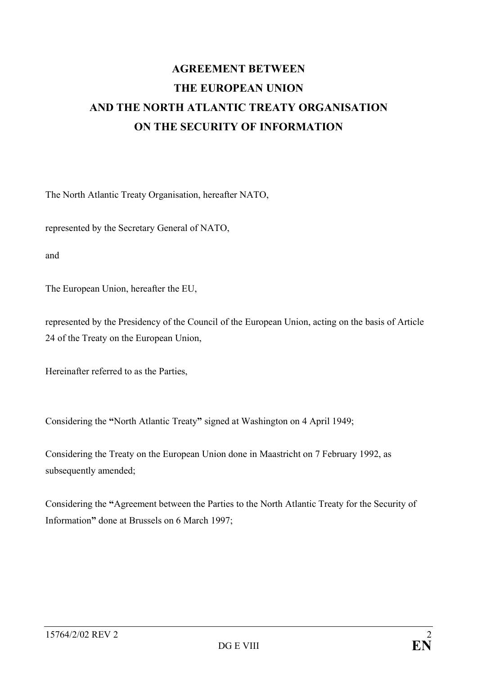# **AGREEMENT BETWEEN THE EUROPEAN UNION AND THE NORTH ATLANTIC TREATY ORGANISATION ON THE SECURITY OF INFORMATION**

The North Atlantic Treaty Organisation, hereafter NATO,

represented by the Secretary General of NATO,

and

The European Union, hereafter the EU,

represented by the Presidency of the Council of the European Union, acting on the basis of Article 24 of the Treaty on the European Union,

Hereinafter referred to as the Parties,

Considering the "North Atlantic Treaty" signed at Washington on 4 April 1949;

Considering the Treaty on the European Union done in Maastricht on 7 February 1992, as subsequently amended;

Considering the "Agreement between the Parties to the North Atlantic Treaty for the Security of Information" done at Brussels on 6 March 1997;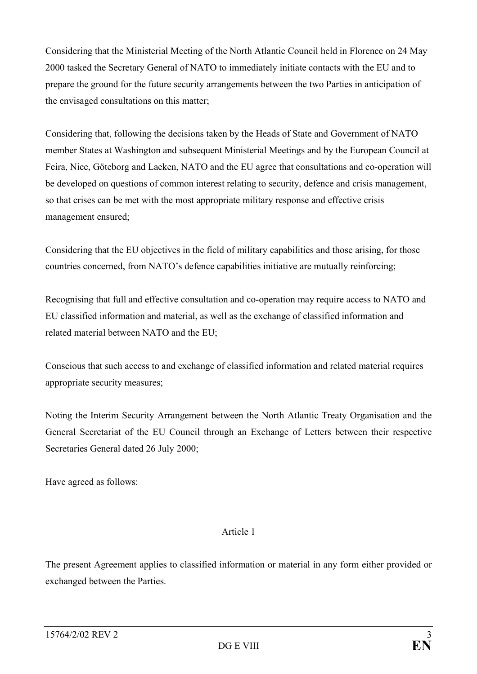Considering that the Ministerial Meeting of the North Atlantic Council held in Florence on 24 May 2000 tasked the Secretary General of NATO to immediately initiate contacts with the EU and to prepare the ground for the future security arrangements between the two Parties in anticipation of the envisaged consultations on this matter;

Considering that, following the decisions taken by the Heads of State and Government of NATO member States at Washington and subsequent Ministerial Meetings and by the European Council at Feira, Nice, Göteborg and Laeken, NATO and the EU agree that consultations and co-operation will be developed on questions of common interest relating to security, defence and crisis management, so that crises can be met with the most appropriate military response and effective crisis management ensured;

Considering that the EU objectives in the field of military capabilities and those arising, for those countries concerned, from NATO's defence capabilities initiative are mutually reinforcing;

Recognising that full and effective consultation and co-operation may require access to NATO and EU classified information and material, as well as the exchange of classified information and related material between NATO and the EU;

Conscious that such access to and exchange of classified information and related material requires appropriate security measures;

Noting the Interim Security Arrangement between the North Atlantic Treaty Organisation and the General Secretariat of the EU Council through an Exchange of Letters between their respective Secretaries General dated 26 July 2000;

Have agreed as follows:

# Article 1

The present Agreement applies to classified information or material in any form either provided or exchanged between the Parties.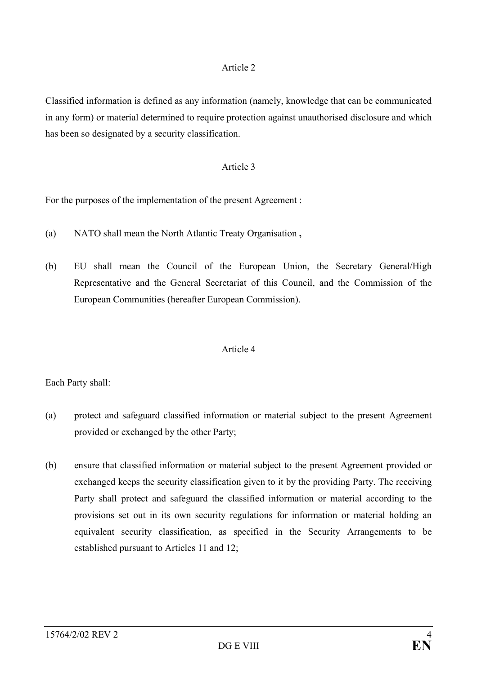Classified information is defined as any information (namely, knowledge that can be communicated in any form) or material determined to require protection against unauthorised disclosure and which has been so designated by a security classification.

# Article 3

For the purposes of the implementation of the present Agreement :

- (a) NATO shall mean the North Atlantic Treaty Organisation **,**
- (b) EU shall mean the Council of the European Union, the Secretary General/High Representative and the General Secretariat of this Council, and the Commission of the European Communities (hereafter European Commission).

# Article 4

Each Party shall:

- (a) protect and safeguard classified information or material subject to the present Agreement provided or exchanged by the other Party;
- (b) ensure that classified information or material subject to the present Agreement provided or exchanged keeps the security classification given to it by the providing Party. The receiving Party shall protect and safeguard the classified information or material according to the provisions set out in its own security regulations for information or material holding an equivalent security classification, as specified in the Security Arrangements to be established pursuant to Articles 11 and 12;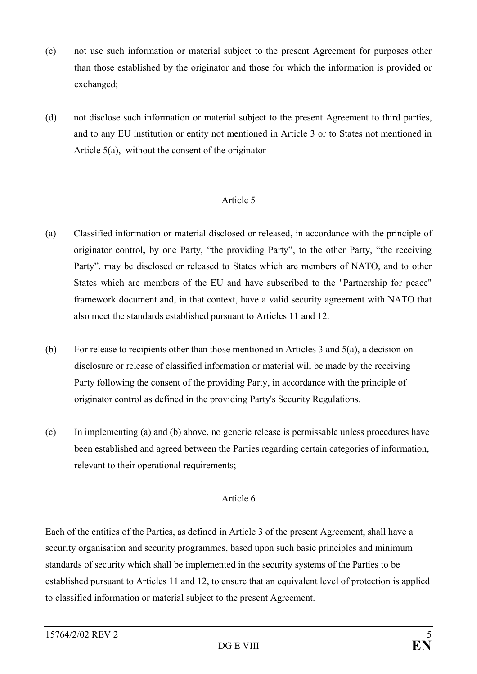- (c) not use such information or material subject to the present Agreement for purposes other than those established by the originator and those for which the information is provided or exchanged;
- (d) not disclose such information or material subject to the present Agreement to third parties, and to any EU institution or entity not mentioned in Article 3 or to States not mentioned in Article 5(a), without the consent of the originator

- (a) Classified information or material disclosed or released, in accordance with the principle of originator control, by one Party, "the providing Party", to the other Party, "the receiving Party", may be disclosed or released to States which are members of NATO, and to other States which are members of the EU and have subscribed to the "Partnership for peace" framework document and, in that context, have a valid security agreement with NATO that also meet the standards established pursuant to Articles 11 and 12.
- (b) For release to recipients other than those mentioned in Articles 3 and 5(a), a decision on disclosure or release of classified information or material will be made by the receiving Party following the consent of the providing Party, in accordance with the principle of originator control as defined in the providing Party's Security Regulations.
- (c) In implementing (a) and (b) above, no generic release is permissable unless procedures have been established and agreed between the Parties regarding certain categories of information, relevant to their operational requirements;

# Article 6

Each of the entities of the Parties, as defined in Article 3 of the present Agreement, shall have a security organisation and security programmes, based upon such basic principles and minimum standards of security which shall be implemented in the security systems of the Parties to be established pursuant to Articles 11 and 12, to ensure that an equivalent level of protection is applied to classified information or material subject to the present Agreement.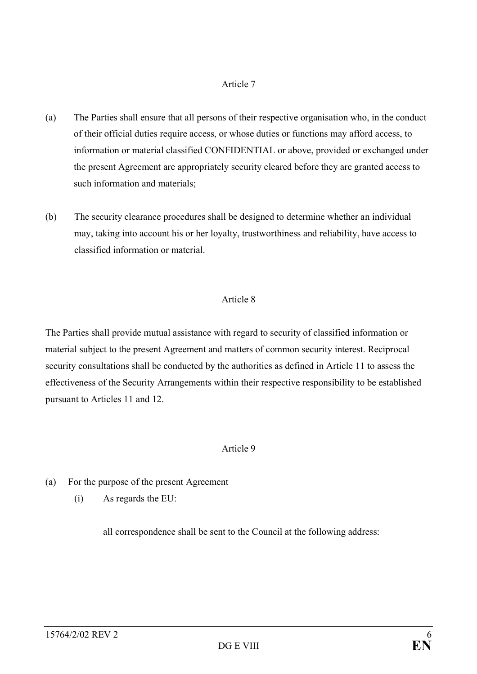- (a) The Parties shall ensure that all persons of their respective organisation who, in the conduct of their official duties require access, or whose duties or functions may afford access, to information or material classified CONFIDENTIAL or above, provided or exchanged under the present Agreement are appropriately security cleared before they are granted access to such information and materials;
- (b) The security clearance procedures shall be designed to determine whether an individual may, taking into account his or her loyalty, trustworthiness and reliability, have access to classified information or material.

# Article 8

The Parties shall provide mutual assistance with regard to security of classified information or material subject to the present Agreement and matters of common security interest. Reciprocal security consultations shall be conducted by the authorities as defined in Article 11 to assess the effectiveness of the Security Arrangements within their respective responsibility to be established pursuant to Articles 11 and 12.

# Article 9

- (a) For the purpose of the present Agreement
	- (i) As regards the EU:

all correspondence shall be sent to the Council at the following address: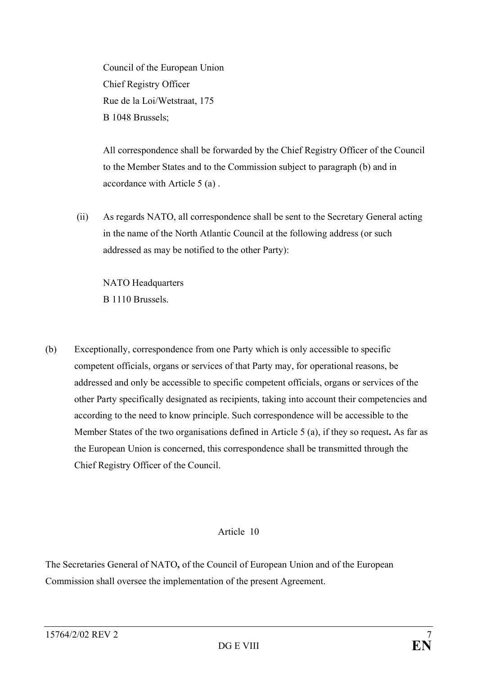Council of the European Union Chief Registry Officer Rue de la Loi/Wetstraat, 175 B 1048 Brussels;

All correspondence shall be forwarded by the Chief Registry Officer of the Council to the Member States and to the Commission subject to paragraph (b) and in accordance with Article 5 (a) .

 (ii) As regards NATO, all correspondence shall be sent to the Secretary General acting in the name of the North Atlantic Council at the following address (or such addressed as may be notified to the other Party):

 NATO Headquarters B 1110 Brussels.

(b) Exceptionally, correspondence from one Party which is only accessible to specific competent officials, organs or services of that Party may, for operational reasons, be addressed and only be accessible to specific competent officials, organs or services of the other Party specifically designated as recipients, taking into account their competencies and according to the need to know principle. Such correspondence will be accessible to the Member States of the two organisations defined in Article 5 (a), if they so request**.** As far as the European Union is concerned, this correspondence shall be transmitted through the Chief Registry Officer of the Council.

# Article 10

The Secretaries General of NATO**,** of the Council of European Union and of the European Commission shall oversee the implementation of the present Agreement.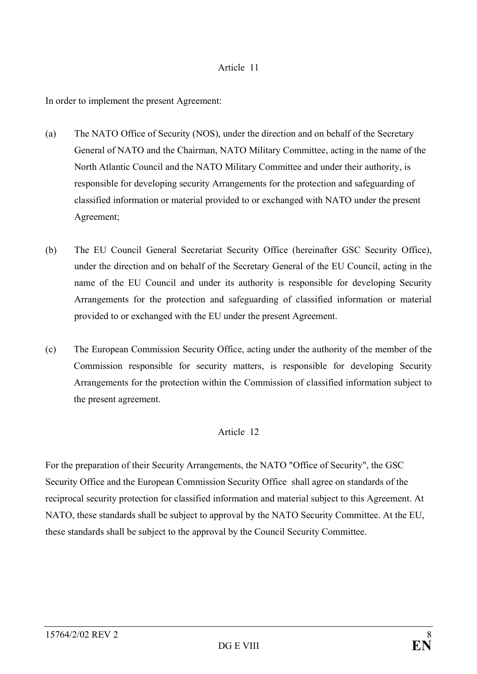In order to implement the present Agreement:

- (a) The NATO Office of Security (NOS), under the direction and on behalf of the Secretary General of NATO and the Chairman, NATO Military Committee, acting in the name of the North Atlantic Council and the NATO Military Committee and under their authority, is responsible for developing security Arrangements for the protection and safeguarding of classified information or material provided to or exchanged with NATO under the present Agreement;
- (b) The EU Council General Secretariat Security Office (hereinafter GSC Security Office), under the direction and on behalf of the Secretary General of the EU Council, acting in the name of the EU Council and under its authority is responsible for developing Security Arrangements for the protection and safeguarding of classified information or material provided to or exchanged with the EU under the present Agreement.
- (c) The European Commission Security Office, acting under the authority of the member of the Commission responsible for security matters, is responsible for developing Security Arrangements for the protection within the Commission of classified information subject to the present agreement.

# Article 12

For the preparation of their Security Arrangements, the NATO "Office of Security", the GSC Security Office and the European Commission Security Office shall agree on standards of the reciprocal security protection for classified information and material subject to this Agreement. At NATO, these standards shall be subject to approval by the NATO Security Committee. At the EU, these standards shall be subject to the approval by the Council Security Committee.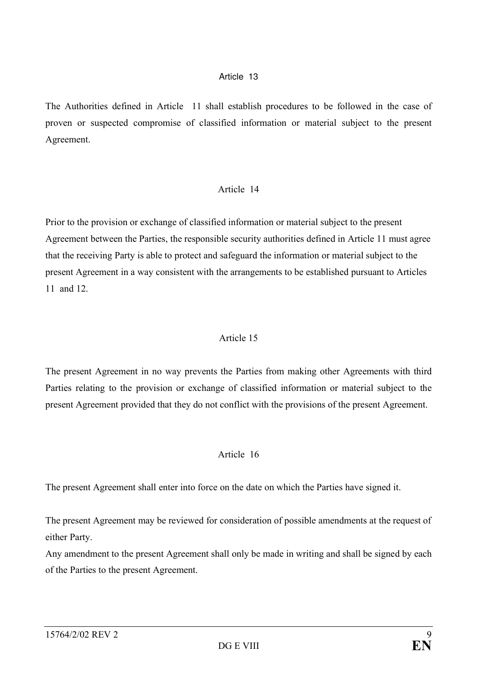The Authorities defined in Article 11 shall establish procedures to be followed in the case of proven or suspected compromise of classified information or material subject to the present Agreement.

# Article 14

Prior to the provision or exchange of classified information or material subject to the present Agreement between the Parties, the responsible security authorities defined in Article 11 must agree that the receiving Party is able to protect and safeguard the information or material subject to the present Agreement in a way consistent with the arrangements to be established pursuant to Articles 11 and 12.

# Article 15

The present Agreement in no way prevents the Parties from making other Agreements with third Parties relating to the provision or exchange of classified information or material subject to the present Agreement provided that they do not conflict with the provisions of the present Agreement.

# Article 16

The present Agreement shall enter into force on the date on which the Parties have signed it.

The present Agreement may be reviewed for consideration of possible amendments at the request of either Party.

Any amendment to the present Agreement shall only be made in writing and shall be signed by each of the Parties to the present Agreement.